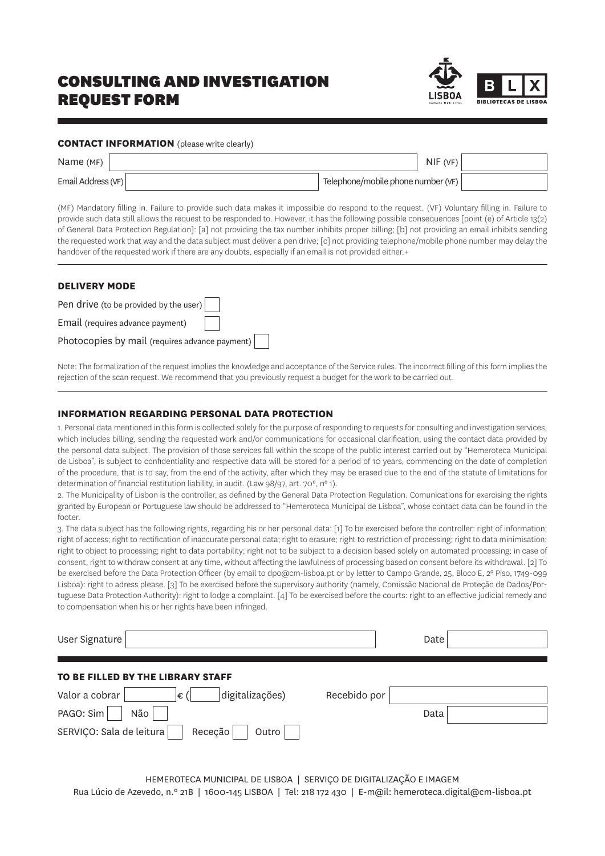# CONSULTING AND INVESTIGATION REQUEST FORM



### **CONTACT INFORMATION** (please write clearly)

| Name (MF)          | NIF(VF)                            |  |
|--------------------|------------------------------------|--|
| Email Address (VF) | Telephone/mobile phone number (VF) |  |

(MF) Mandatory filling in. Failure to provide such data makes it impossible do respond to the request. (VF) Voluntary filling in. Failure to provide such data still allows the request to be responded to. However, it has the following possible consequences [point (e) of Article 13(2) of General Data Protection Regulation]: [a] not providing the tax number inhibits proper billing; [b] not providing an email inhibits sending the requested work that way and the data subject must deliver a pen drive; [c] not providing telephone/mobile phone number may delay the handover of the requested work if there are any doubts, especially if an email is not provided either.+

### **DELIVERY MODE**

| Pen drive (to be provided by the user)         |  |
|------------------------------------------------|--|
| Email (requires advance payment)               |  |
| Photocopies by mail (requires advance payment) |  |

Note: The formalization of the request implies the knowledge and acceptance of the Service rules. The incorrect filling of this form implies the rejection of the scan request. We recommend that you previously request a budget for the work to be carried out.

### **INFORMATION REGARDING PERSONAL DATA PROTECTION**

1. Personal data mentioned in this form is collected solely for the purpose of responding to requests for consulting and investigation services, which includes billing, sending the requested work and/or communications for occasional clarification, using the contact data provided by the personal data subject. The provision of those services fall within the scope of the public interest carried out by "Hemeroteca Municipal de Lisboa", is subject to confidentiality and respective data will be stored for a period of 10 years, commencing on the date of completion of the procedure, that is to say, from the end of the activity, after which they may be erased due to the end of the statute of limitations for determination of financial restitution liability, in audit. (Law 98/97, art. 70°, n° 1).

2. The Municipality of Lisbon is the controller, as defined by the General Data Protection Regulation. Comunications for exercising the rights granted by European or Portuguese law should be addressed to "Hemeroteca Municipal de Lisboa", whose contact data can be found in the footer.

3. The data subject has the following rights, regarding his or her personal data: [1] To be exercised before the controller: right of information; right of access; right to rectification of inaccurate personal data; right to erasure; right to restriction of processing; right to data minimisation; right to object to processing; right to data portability; right not to be subject to a decision based solely on automated processing; in case of consent, right to withdraw consent at any time, without affecting the lawfulness of processing based on consent before its withdrawal. [2] To be exercised before the Data Protection Officer (by email to dpo@cm-lisboa.pt or by letter to Campo Grande, 25, Bloco E, 2º Piso, 1749-099 Lisboa): right to adress please. [3] To be exercised before the supervisory authority (namely, Comissão Nacional de Proteção de Dados/Portuguese Data Protection Authority): right to lodge a complaint. [4] To be exercised before the courts: right to an effective judicial remedy and to compensation when his or her rights have been infringed.

| User Signature                               |              | Date |  |
|----------------------------------------------|--------------|------|--|
| TO BE FILLED BY THE LIBRARY STAFF            |              |      |  |
| Valor a cobrar<br>digitalizações)<br>∣€ (    | Recebido por |      |  |
| PAGO: Sim<br>Não                             |              | Data |  |
| SERVIÇO: Sala de leitura<br>Receção<br>Outro |              |      |  |

HEMEROTECA MUNICIPAL DE LISBOA | SERVIÇO DE DIGITALIZAÇÃO E IMAGEM Rua Lúcio de Azevedo, n.º 21B | 1600-145 LISBOA | Tel: 218 172 430 | E-m@il: hemeroteca.digital@cm-lisboa.pt